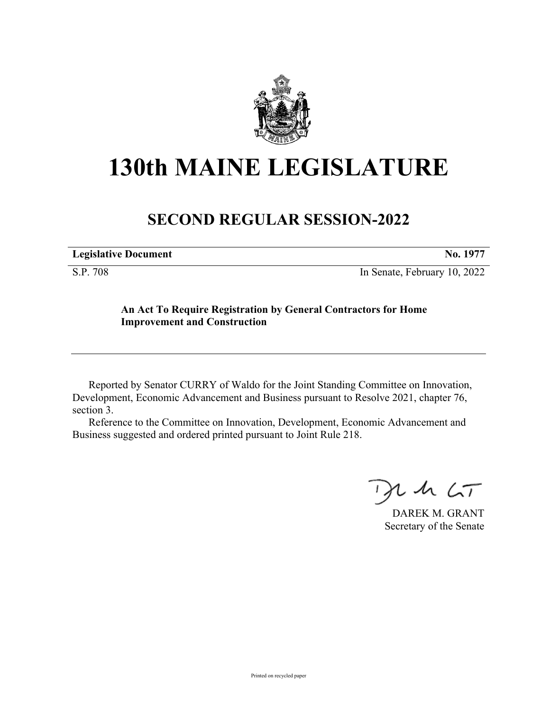

## **130th MAINE LEGISLATURE**

## **SECOND REGULAR SESSION-2022**

S.P. 708 In Senate, February 10, 2022

## **An Act To Require Registration by General Contractors for Home Improvement and Construction**

Reported by Senator CURRY of Waldo for the Joint Standing Committee on Innovation, Development, Economic Advancement and Business pursuant to Resolve 2021, chapter 76, section 3.

Reference to the Committee on Innovation, Development, Economic Advancement and Business suggested and ordered printed pursuant to Joint Rule 218.

 $125$ 

DAREK M. GRANT Secretary of the Senate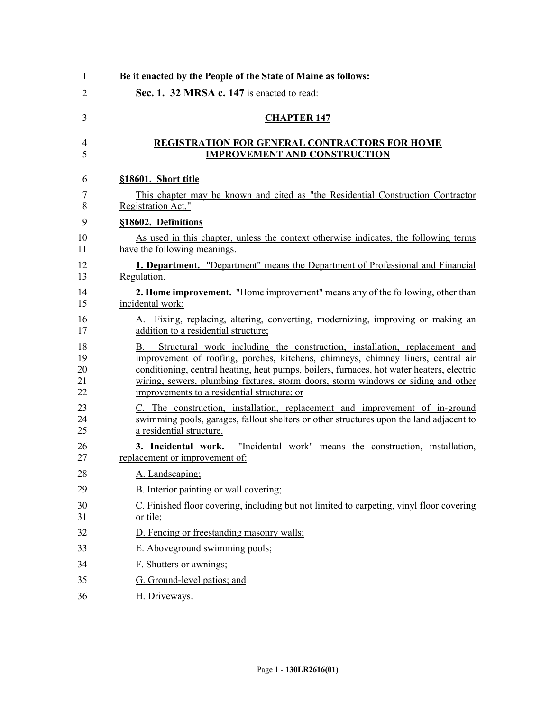| 1                    | Be it enacted by the People of the State of Maine as follows:                                                                                                                                                                                                                                                                                                                                        |
|----------------------|------------------------------------------------------------------------------------------------------------------------------------------------------------------------------------------------------------------------------------------------------------------------------------------------------------------------------------------------------------------------------------------------------|
| 2                    | Sec. 1. 32 MRSA c. 147 is enacted to read:                                                                                                                                                                                                                                                                                                                                                           |
| 3                    | <b>CHAPTER 147</b>                                                                                                                                                                                                                                                                                                                                                                                   |
| 4<br>5               | <b>REGISTRATION FOR GENERAL CONTRACTORS FOR HOME</b><br><b>IMPROVEMENT AND CONSTRUCTION</b>                                                                                                                                                                                                                                                                                                          |
| 6                    | §18601. Short title                                                                                                                                                                                                                                                                                                                                                                                  |
| 7<br>8               | This chapter may be known and cited as "the Residential Construction Contractor"<br>Registration Act."                                                                                                                                                                                                                                                                                               |
| 9                    | §18602. Definitions                                                                                                                                                                                                                                                                                                                                                                                  |
| 10<br>11             | As used in this chapter, unless the context otherwise indicates, the following terms<br>have the following meanings.                                                                                                                                                                                                                                                                                 |
| 12<br>13             | 1. Department. "Department" means the Department of Professional and Financial<br>Regulation.                                                                                                                                                                                                                                                                                                        |
| 14<br>15             | <b>2. Home improvement.</b> "Home improvement" means any of the following, other than<br>incidental work:                                                                                                                                                                                                                                                                                            |
| 16<br>17             | A. Fixing, replacing, altering, converting, modernizing, improving or making an<br>addition to a residential structure;                                                                                                                                                                                                                                                                              |
| 18<br>19<br>20<br>22 | Structural work including the construction, installation, replacement and<br>B.<br>improvement of roofing, porches, kitchens, chimneys, chimney liners, central air<br>conditioning, central heating, heat pumps, boilers, furnaces, hot water heaters, electric<br>wiring, sewers, plumbing fixtures, storm doors, storm windows or siding and other<br>improvements to a residential structure; or |
|                      | C. The construction, installation, replacement and improvement of in-ground<br>swimming pools, garages, fallout shelters or other structures upon the land adjacent to<br>a residential structure.                                                                                                                                                                                                   |
|                      | "Incidental work" means the construction, installation,<br>3. Incidental work.<br>replacement or improvement of:                                                                                                                                                                                                                                                                                     |
| 28                   | A. Landscaping:                                                                                                                                                                                                                                                                                                                                                                                      |
|                      | B. Interior painting or wall covering;                                                                                                                                                                                                                                                                                                                                                               |
|                      | C. Finished floor covering, including but not limited to carpeting, vinyl floor covering<br><u>or tile;</u>                                                                                                                                                                                                                                                                                          |
|                      | D. Fencing or freestanding masonry walls;                                                                                                                                                                                                                                                                                                                                                            |
|                      | E. Aboveground swimming pools;                                                                                                                                                                                                                                                                                                                                                                       |
|                      | F. Shutters or awnings;                                                                                                                                                                                                                                                                                                                                                                              |
|                      | G. Ground-level patios; and                                                                                                                                                                                                                                                                                                                                                                          |
|                      | H. Driveways.                                                                                                                                                                                                                                                                                                                                                                                        |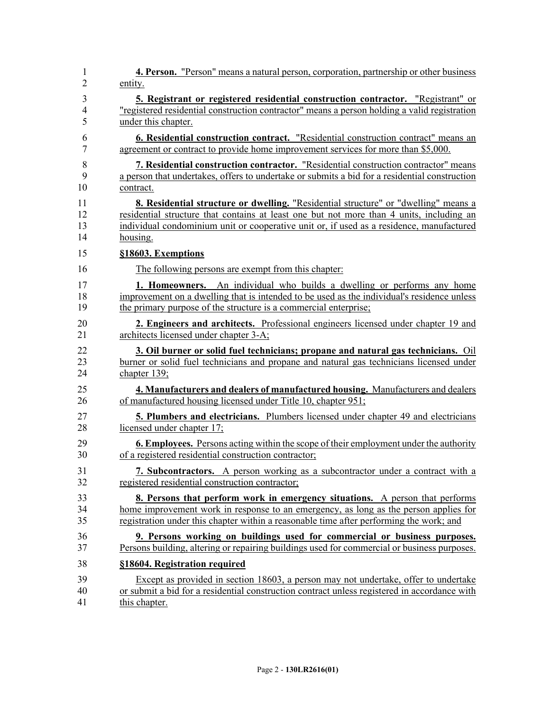| 1              | 4. Person. "Person" means a natural person, corporation, partnership or other business        |
|----------------|-----------------------------------------------------------------------------------------------|
| 2              | entity.                                                                                       |
| 3              | 5. Registrant or registered residential construction contractor. "Registrant" or              |
| $\overline{4}$ | "registered residential construction contractor" means a person holding a valid registration  |
| 5              | under this chapter.                                                                           |
| 6              | <b>6. Residential construction contract.</b> "Residential construction contract" means an     |
| $\overline{7}$ | agreement or contract to provide home improvement services for more than \$5,000.             |
| 8              | 7. Residential construction contractor. "Residential construction contractor" means           |
| 9              | a person that undertakes, offers to undertake or submits a bid for a residential construction |
| 10             | contract.                                                                                     |
| 11             | <b>8. Residential structure or dwelling.</b> "Residential structure" or "dwelling" means a    |
| 12             | residential structure that contains at least one but not more than 4 units, including an      |
| 13             | individual condominium unit or cooperative unit or, if used as a residence, manufactured      |
| 14             | housing.                                                                                      |
| 15             | §18603. Exemptions                                                                            |
| 16             | The following persons are exempt from this chapter:                                           |
| 17             | <b>1. Homeowners.</b> An individual who builds a dwelling or performs any home                |
| 18             | improvement on a dwelling that is intended to be used as the individual's residence unless    |
| 19             | the primary purpose of the structure is a commercial enterprise;                              |
| 20             | 2. Engineers and architects. Professional engineers licensed under chapter 19 and             |
| 21             | architects licensed under chapter 3-A;                                                        |
| 22             | 3. Oil burner or solid fuel technicians; propane and natural gas technicians. Oil             |
| 23             | burner or solid fuel technicians and propane and natural gas technicians licensed under       |
| 24             | chapter $139$ ;                                                                               |
| 25             | 4. Manufacturers and dealers of manufactured housing. Manufacturers and dealers               |
| 26             | of manufactured housing licensed under Title 10, chapter 951;                                 |
| 27             | <b>5. Plumbers and electricians.</b> Plumbers licensed under chapter 49 and electricians      |
| 28             | licensed under chapter 17;                                                                    |
| 29             | <b>6. Employees.</b> Persons acting within the scope of their employment under the authority  |
| 30             | of a registered residential construction contractor;                                          |
| 31             | 7. Subcontractors. A person working as a subcontractor under a contract with a                |
| 32             | registered residential construction contractor;                                               |
| 33             | <b>8. Persons that perform work in emergency situations.</b> A person that performs           |
| 34             | home improvement work in response to an emergency, as long as the person applies for          |
| 35             | registration under this chapter within a reasonable time after performing the work; and       |
| 36             | 9. Persons working on buildings used for commercial or business purposes.                     |
| 37             | Persons building, altering or repairing buildings used for commercial or business purposes.   |
| 38             | §18604. Registration required                                                                 |
| 39             | Except as provided in section 18603, a person may not undertake, offer to undertake           |
| 40             | or submit a bid for a residential construction contract unless registered in accordance with  |
| 41             | this chapter.                                                                                 |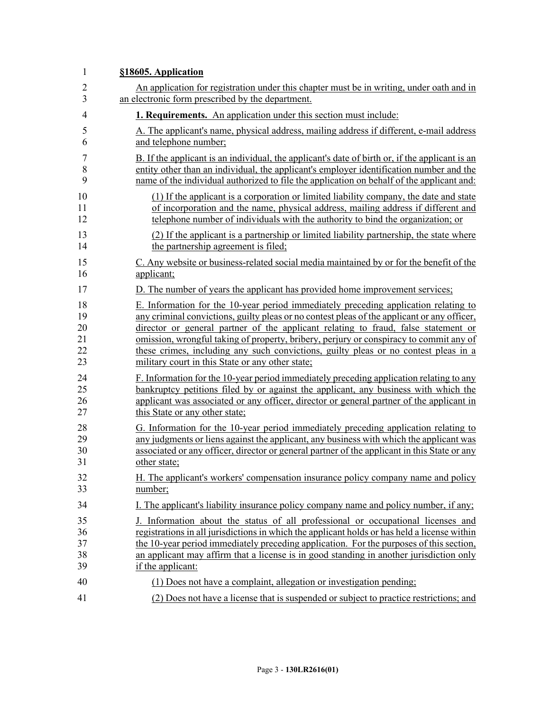| $\mathbf{1}$   | §18605. Application                                                                            |
|----------------|------------------------------------------------------------------------------------------------|
| $\overline{2}$ | An application for registration under this chapter must be in writing, under oath and in       |
| 3              | an electronic form prescribed by the department.                                               |
| $\overline{4}$ | 1. Requirements. An application under this section must include:                               |
| 5              | A. The applicant's name, physical address, mailing address if different, e-mail address        |
| 6              | and telephone number;                                                                          |
| 7              | B. If the applicant is an individual, the applicant's date of birth or, if the applicant is an |
| 8              | entity other than an individual, the applicant's employer identification number and the        |
| 9              | name of the individual authorized to file the application on behalf of the applicant and:      |
| 10             | (1) If the applicant is a corporation or limited liability company, the date and state         |
| 11             | of incorporation and the name, physical address, mailing address if different and              |
| 12             | telephone number of individuals with the authority to bind the organization; or                |
| 13             | (2) If the applicant is a partnership or limited liability partnership, the state where        |
| 14             | the partnership agreement is filed;                                                            |
| 15             | C. Any website or business-related social media maintained by or for the benefit of the        |
| 16             | applicant;                                                                                     |
| 17             | D. The number of years the applicant has provided home improvement services;                   |
| 18             | E. Information for the 10-year period immediately preceding application relating to            |
| 19             | any criminal convictions, guilty pleas or no contest pleas of the applicant or any officer,    |
| 20             | director or general partner of the applicant relating to fraud, false statement or             |
| 21             | omission, wrongful taking of property, bribery, perjury or conspiracy to commit any of         |
| 22             | these crimes, including any such convictions, guilty pleas or no contest pleas in a            |
| 23             | military court in this State or any other state;                                               |
| 24             | F. Information for the 10-year period immediately preceding application relating to any        |
| 25             | bankruptcy petitions filed by or against the applicant, any business with which the            |
| 26             | applicant was associated or any officer, director or general partner of the applicant in       |
| 27             | this State or any other state;                                                                 |
| 28             | G. Information for the 10-year period immediately preceding application relating to            |
| 29             | any judgments or liens against the applicant, any business with which the applicant was        |
| 30             | associated or any officer, director or general partner of the applicant in this State or any   |
| 31             | other state;                                                                                   |
| 32             | H. The applicant's workers' compensation insurance policy company name and policy              |
| 33             | number;                                                                                        |
| 34             | I. The applicant's liability insurance policy company name and policy number, if any;          |
| 35             | J. Information about the status of all professional or occupational licenses and               |
| 36             | registrations in all jurisdictions in which the applicant holds or has held a license within   |
| 37             | the 10-year period immediately preceding application. For the purposes of this section,        |
| 38             | an applicant may affirm that a license is in good standing in another jurisdiction only        |
| 39             | if the applicant:                                                                              |
| 40             | (1) Does not have a complaint, allegation or investigation pending;                            |
| 41             | (2) Does not have a license that is suspended or subject to practice restrictions; and         |